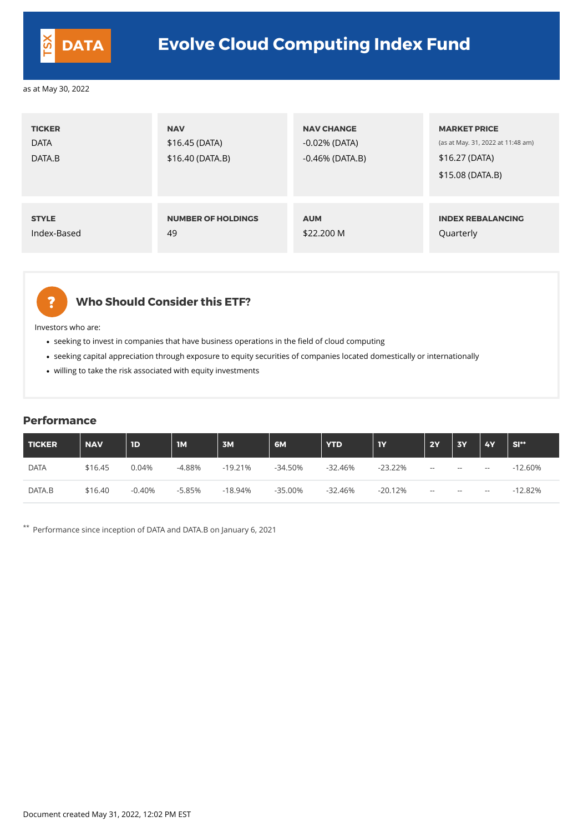| <b>TICKER</b><br><b>DATA</b><br>DATA.B | <b>NAV</b><br>\$16.45(DATA)<br>\$16.40(DATA.B) | <b>NAV CHANGE</b><br>$-0.02\%$ (DATA)<br>$-0.46\%$ (DATA.B) | <b>MARKET PRICE</b><br>(as at May. 31, 2022 at 11:48 am)<br>\$16.27 (DATA)<br>\$15.08 (DATA.B) |
|----------------------------------------|------------------------------------------------|-------------------------------------------------------------|------------------------------------------------------------------------------------------------|
| <b>STYLE</b>                           | <b>NUMBER OF HOLDINGS</b>                      | <b>AUM</b>                                                  | <b>INDEX REBALANCING</b>                                                                       |
| Index-Based                            | 49                                             | \$22,200 M                                                  | Quarterly                                                                                      |



## **Who Should Consider this ETF?**

- seeking to invest in companies that have business operations in the field of cloud computing
- seeking capital appreciation through exposure to equity securities of companies located domestically or internationally
- willing to take the risk associated with equity investments

Investors who are:

#### **Performance**

| <b>TICKER</b> | <b>NAV</b> | 1D       | <b>1M</b> | 3M        | 6M         | <b>YTD</b> | <b>IY</b> | <b>2Y</b>  | <b>3Y</b> | <b>4Y</b> | $SI**$    |
|---------------|------------|----------|-----------|-----------|------------|------------|-----------|------------|-----------|-----------|-----------|
| <b>DATA</b>   | \$16.45    | 0.04%    | $-4.88%$  | $-19.21%$ | $-34.50%$  | $-32.46%$  | $-23.22%$ | $- -$      | $- -$     | $- -$     | $-12.60%$ |
| DATA.B        | \$16.40    | $-0.40%$ | $-5.85%$  | $-18.94%$ | $-35.00\%$ | $-32.46%$  | $-20.12%$ | $\sim$ $-$ | $--$      | $- -$     | $-12.82%$ |

\*\* Performance since inception of DATA and DATA.B on January 6, 2021

Document created May 31, 2022, 12:02 PM EST



## **DATA Evolve Cloud Computing Index Fund**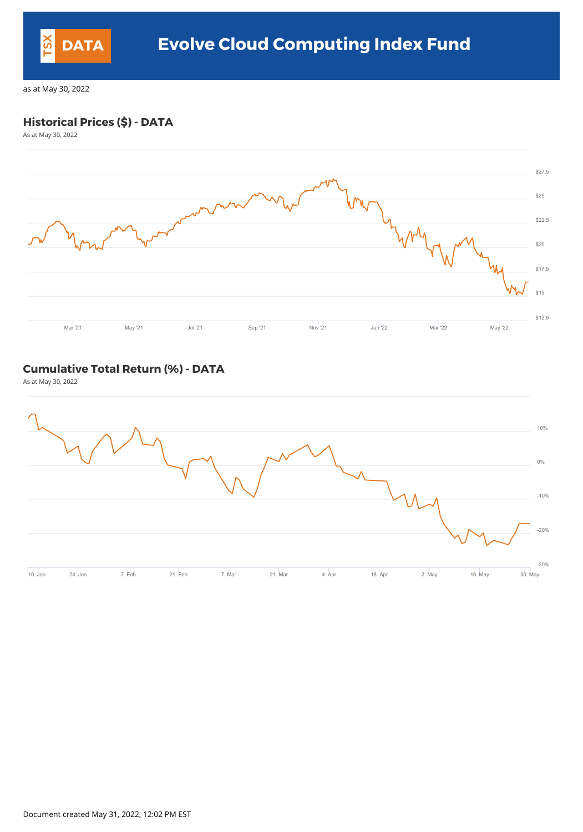## **Historical Prices (\$) - DATA**

As at May 30, 2022



#### **Cumulative Total Return (%) - DATA**

As at May 30, 2022



Document created May 31, 2022, 12:02 PM EST



## **DATA Evolve Cloud Computing Index Fund**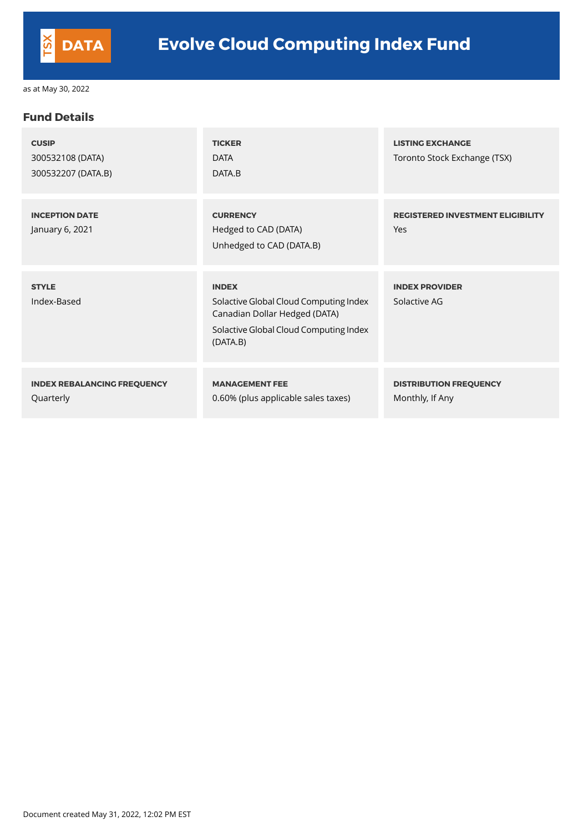#### **Fund Details**

| <b>CUSIP</b><br>300532108 (DATA)<br>300532207 (DATA.B) | <b>TICKER</b><br><b>DATA</b><br>DATA.B                                                                                                        | <b>LISTING EXCHANGE</b><br>Toronto Stock Exchange (TSX) |
|--------------------------------------------------------|-----------------------------------------------------------------------------------------------------------------------------------------------|---------------------------------------------------------|
| <b>INCEPTION DATE</b><br>January 6, 2021               | <b>CURRENCY</b><br>Hedged to CAD (DATA)<br>Unhedged to CAD (DATA.B)                                                                           | <b>REGISTERED INVESTMENT ELIGIBILITY</b><br>Yes         |
| <b>STYLE</b><br>Index-Based                            | <b>INDEX</b><br>Solactive Global Cloud Computing Index<br>Canadian Dollar Hedged (DATA)<br>Solactive Global Cloud Computing Index<br>(DATA.B) | <b>INDEX PROVIDER</b><br>Solactive AG                   |
| <b>INDEX REBALANCING FREQUENCY</b><br>Quarterly        | <b>MANAGEMENT FEE</b><br>0.60% (plus applicable sales taxes)                                                                                  | <b>DISTRIBUTION FREQUENCY</b><br>Monthly, If Any        |

Document created May 31, 2022, 12:02 PM EST

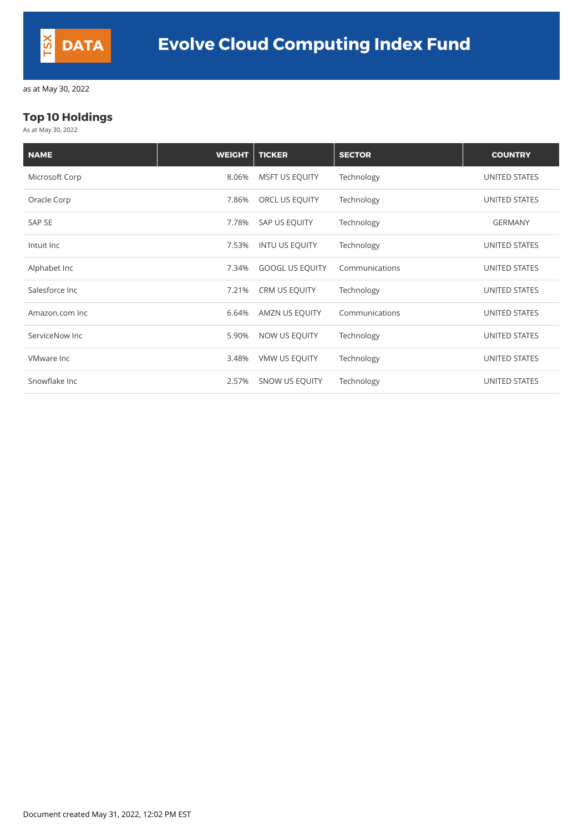### **Top 10 Holdings**

As at May 30, 2022

| <b>NAME</b>       | <b>WEIGHT</b> | <b>TICKER</b>          | <b>SECTOR</b>  | <b>COUNTRY</b>       |
|-------------------|---------------|------------------------|----------------|----------------------|
| Microsoft Corp    | 8.06%         | <b>MSFT US EQUITY</b>  | Technology     | <b>UNITED STATES</b> |
| Oracle Corp       | 7.86%         | ORCL US EQUITY         | Technology     | UNITED STATES        |
| SAP SE            | 7.78%         | SAP US EQUITY          | Technology     | <b>GERMANY</b>       |
| Intuit Inc        | 7.53%         | <b>INTU US EQUITY</b>  | Technology     | UNITED STATES        |
| Alphabet Inc      | 7.34%         | <b>GOOGL US EQUITY</b> | Communications | <b>UNITED STATES</b> |
| Salesforce Inc    | 7.21%         | <b>CRM US EQUITY</b>   | Technology     | <b>UNITED STATES</b> |
| Amazon.com Inc    | 6.64%         | AMZN US EQUITY         | Communications | UNITED STATES        |
| ServiceNow Inc    | 5.90%         | NOW US EQUITY          | Technology     | <b>UNITED STATES</b> |
| <b>VMware Inc</b> | 3.48%         | <b>VMW US EQUITY</b>   | Technology     | <b>UNITED STATES</b> |
| Snowflake Inc     | 2.57%         | <b>SNOW US EQUITY</b>  | Technology     | <b>UNITED STATES</b> |

Document created May 31, 2022, 12:02 PM EST

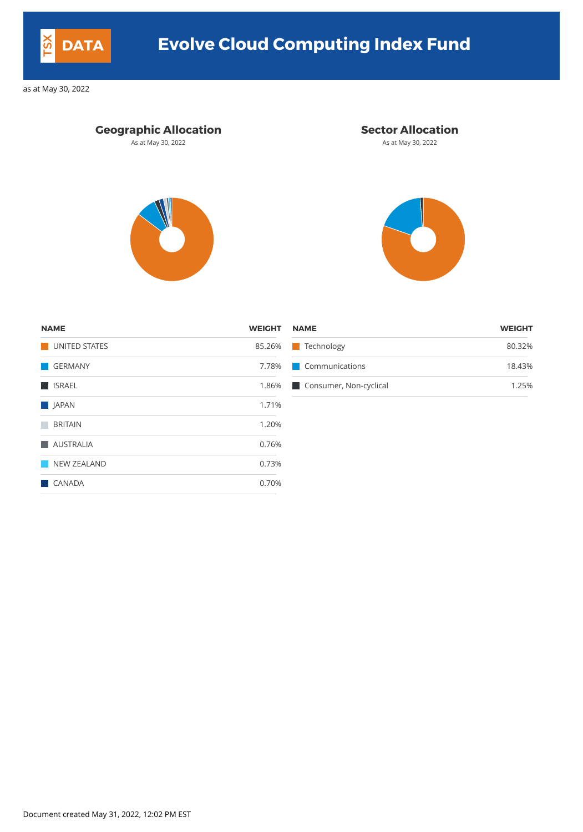### **Geographic Allocation Sector Allocation**

As at May 30, 2022 **As at May 30, 2022** As at May 30, 2022





| <b>NAME</b>   | <b>WEIGHT NAME</b> |                              | <b>WEIGHT</b> |
|---------------|--------------------|------------------------------|---------------|
| UNITED STATES |                    | 85.26% Technology            | 80.32%        |
| GERMANY       |                    | 7.78% Communications         | 18.43%        |
| <b>SALL</b>   |                    | 1.86% Consumer, Non-cyclical | 1.25%         |

| <b>NAME</b>          | <b>WEIGHT</b> |
|----------------------|---------------|
| <b>UNITED STATES</b> | 85.26%        |
| <b>GERMANY</b>       | 7.78%         |
| <b>ISRAEL</b>        | 1.86%         |
| <b>JAPAN</b>         | 1.71%         |
| <b>BRITAIN</b>       | 1.20%         |
| <b>AUSTRALIA</b>     | 0.76%         |
| <b>NEW ZEALAND</b>   | 0.73%         |
| <b>CANADA</b>        | 0.70%         |
|                      |               |

Document created May 31, 2022, 12:02 PM EST



# **DATA Evolve Cloud Computing Index Fund**